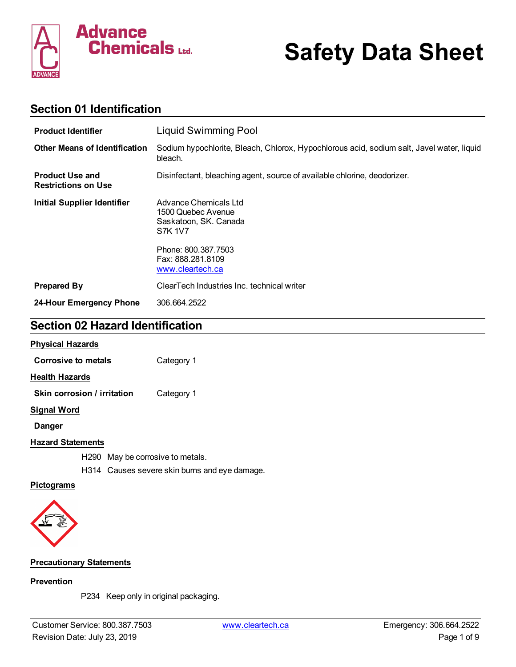

# **Safety Data Sheet**

| <b>Section 01 Identification</b>                     |                                                                                                      |  |
|------------------------------------------------------|------------------------------------------------------------------------------------------------------|--|
| <b>Product Identifier</b>                            | <b>Liquid Swimming Pool</b>                                                                          |  |
| <b>Other Means of Identification</b>                 | Sodium hypochlorite, Bleach, Chlorox, Hypochlorous acid, sodium salt, Javel water, liquid<br>bleach. |  |
| <b>Product Use and</b><br><b>Restrictions on Use</b> | Disinfectant, bleaching agent, source of available chlorine, deodorizer.                             |  |
| <b>Initial Supplier Identifier</b>                   | Advance Chemicals Ltd<br>1500 Quebec Avenue<br>Saskatoon, SK. Canada<br>S7K 1V7                      |  |
|                                                      | Phone: 800.387.7503<br>Fax: 888.281.8109<br>www.cleartech.ca                                         |  |
| <b>Prepared By</b>                                   | ClearTech Industries Inc. technical writer                                                           |  |
| 24-Hour Emergency Phone                              | 306.664.2522                                                                                         |  |

## **Section 02 Hazard Identification**

#### **Physical Hazards**

| Corrosive to metals         | Category 1 |
|-----------------------------|------------|
| <b>Health Hazards</b>       |            |
| Skin corrosion / irritation | Category 1 |
| <b>Signal Word</b>          |            |
| Danger                      |            |
| <b>Hazard Statements</b>    |            |

H290 May be corrosive to metals.

H314 Causes severe skin burns and eye damage.

#### **Pictograms**



#### **Precautionary Statements**

#### **Prevention**

P234 Keep only in original packaging.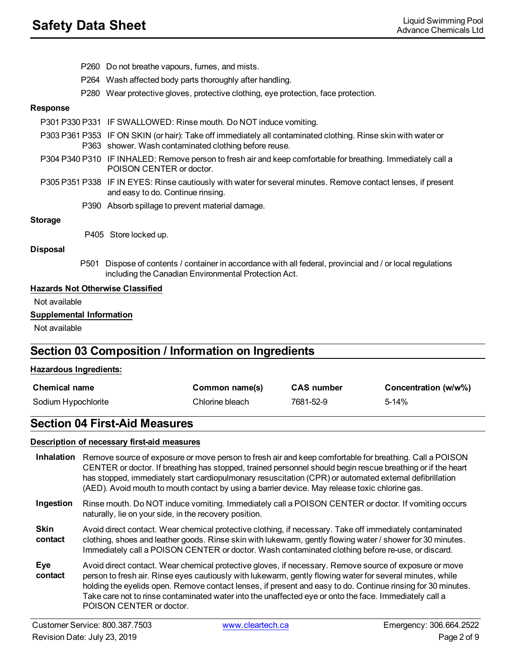- P260 Do not breathe vapours, fumes, and mists.
- P264 Wash affected body parts thoroughly after handling.
- P280 Wear protective gloves, protective clothing, eye protection, face protection.

#### **Response**

|                                 | P301 P330 P331 IF SWALLOWED: Rinse mouth. Do NOT induce vomiting.                                                                                                      |
|---------------------------------|------------------------------------------------------------------------------------------------------------------------------------------------------------------------|
|                                 | P303 P361 P353 IF ON SKIN (or hair): Take off immediately all contaminated clothing. Rinse skin with water or<br>P363 shower. Wash contaminated clothing before reuse. |
|                                 | P304 P340 P310 IF INHALED: Remove person to fresh air and keep comfortable for breathing. Immediately call a<br>POISON CENTER or doctor.                               |
|                                 | P305 P351 P338 IF IN EYES: Rinse cautiously with water for several minutes. Remove contact lenses, if present<br>and easy to do. Continue rinsing.                     |
|                                 | P390 Absorb spillage to prevent material damage.                                                                                                                       |
| <b>Storage</b>                  |                                                                                                                                                                        |
|                                 | P405 Store locked up.                                                                                                                                                  |
| <b>Disposal</b>                 |                                                                                                                                                                        |
| P501                            | Dispose of contents / container in accordance with all federal, provincial and / or local regulations<br>including the Canadian Environmental Protection Act.          |
|                                 | <b>Hazards Not Otherwise Classified</b>                                                                                                                                |
| Not available                   |                                                                                                                                                                        |
| <b>Supplemental Information</b> |                                                                                                                                                                        |
| Not available                   |                                                                                                                                                                        |

## **Section 03 Composition / Information on Ingredients**

#### **Hazardous Ingredients:**

| <b>Chemical name</b> | Common name(s)  | <b>CAS number</b> | Concentration (w/w%) |
|----------------------|-----------------|-------------------|----------------------|
| Sodium Hypochlorite  | Chlorine bleach | 7681-52-9         | 5-14%                |

## **Section 04 First-Aid Measures**

#### **Description of necessary first-aid measures**

**Inhalation** Remove source of exposure or move person to fresh air and keep comfortable for breathing. Call a POISON CENTER or doctor. If breathing has stopped, trained personnel should begin rescue breathing or if the heart has stopped, immediately start cardiopulmonary resuscitation (CPR) or automated external defibrillation (AED). Avoid mouth to mouth contact by using a barrier device. May release toxic chlorine gas. **Ingestion** Rinse mouth. Do NOT induce vomiting. Immediately call a POISON CENTER or doctor. If vomiting occurs naturally, lie on your side, in the recovery position. **Skin contact** Avoid direct contact. Wear chemical protective clothing, if necessary. Take off immediately contaminated clothing, shoes and leather goods. Rinse skin with lukewarm, gently flowing water / shower for 30 minutes. Immediately call a POISON CENTER or doctor. Wash contaminated clothing before re-use, or discard. **Eye contact** Avoid direct contact. Wear chemical protective gloves, if necessary. Remove source of exposure or move person to fresh air. Rinse eyes cautiously with lukewarm, gently flowing water for several minutes, while holding the eyelids open. Remove contact lenses, if present and easy to do. Continue rinsing for 30 minutes. Take care not to rinse contaminated water into the unaffected eye or onto the face. Immediately call a POISON CENTER or doctor.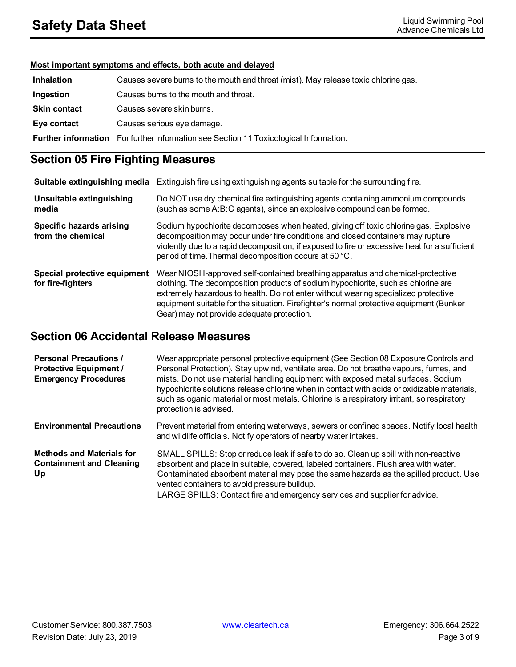#### **Most important symptoms and effects, both acute and delayed**

| <b>Inhalation</b>   | Causes severe burns to the mouth and throat (mist). May release toxic chlorine gas.   |  |
|---------------------|---------------------------------------------------------------------------------------|--|
| Ingestion           | Causes burns to the mouth and throat.                                                 |  |
| <b>Skin contact</b> | Causes severe skin burns.                                                             |  |
| Eye contact         | Causes serious eye damage.                                                            |  |
|                     | Further information For further information see Section 11 Toxicological Information. |  |

## **Section 05 Fire Fighting Measures**

| Suitable extinguishing media                      | Extinguish fire using extinguishing agents suitable for the surrounding fire.                                                                                                                                                                                                                                                                                                                      |
|---------------------------------------------------|----------------------------------------------------------------------------------------------------------------------------------------------------------------------------------------------------------------------------------------------------------------------------------------------------------------------------------------------------------------------------------------------------|
| Unsuitable extinguishing<br>media                 | Do NOT use dry chemical fire extinguishing agents containing ammonium compounds<br>(such as some A:B:C agents), since an explosive compound can be formed.                                                                                                                                                                                                                                         |
| Specific hazards arising<br>from the chemical     | Sodium hypochlorite decomposes when heated, giving off toxic chlorine gas. Explosive<br>decomposition may occur under fire conditions and closed containers may rupture<br>violently due to a rapid decomposition, if exposed to fire or excessive heat for a sufficient<br>period of time. Thermal decomposition occurs at 50 °C.                                                                 |
| Special protective equipment<br>for fire-fighters | Wear NIOSH-approved self-contained breathing apparatus and chemical-protective<br>clothing. The decomposition products of sodium hypochlorite, such as chlorine are<br>extremely hazardous to health. Do not enter without wearing specialized protective<br>equipment suitable for the situation. Firefighter's normal protective equipment (Bunker<br>Gear) may not provide adequate protection. |

## **Section 06 Accidental Release Measures**

| <b>Personal Precautions /</b><br><b>Protective Equipment /</b><br><b>Emergency Procedures</b> | Wear appropriate personal protective equipment (See Section 08 Exposure Controls and<br>Personal Protection). Stay upwind, ventilate area. Do not breathe vapours, fumes, and<br>mists. Do not use material handling equipment with exposed metal surfaces. Sodium<br>hypochlorite solutions release chlorine when in contact with acids or oxidizable materials,<br>such as oganic material or most metals. Chlorine is a respiratory irritant, so respiratory<br>protection is advised. |
|-----------------------------------------------------------------------------------------------|-------------------------------------------------------------------------------------------------------------------------------------------------------------------------------------------------------------------------------------------------------------------------------------------------------------------------------------------------------------------------------------------------------------------------------------------------------------------------------------------|
| <b>Environmental Precautions</b>                                                              | Prevent material from entering waterways, sewers or confined spaces. Notify local health<br>and wildlife officials. Notify operators of nearby water intakes.                                                                                                                                                                                                                                                                                                                             |
| <b>Methods and Materials for</b><br><b>Containment and Cleaning</b><br>Up                     | SMALL SPILLS: Stop or reduce leak if safe to do so. Clean up spill with non-reactive<br>absorbent and place in suitable, covered, labeled containers. Flush area with water.<br>Contaminated absorbent material may pose the same hazards as the spilled product. Use<br>vented containers to avoid pressure buildup.<br>LARGE SPILLS: Contact fire and emergency services and supplier for advice.                                                                                       |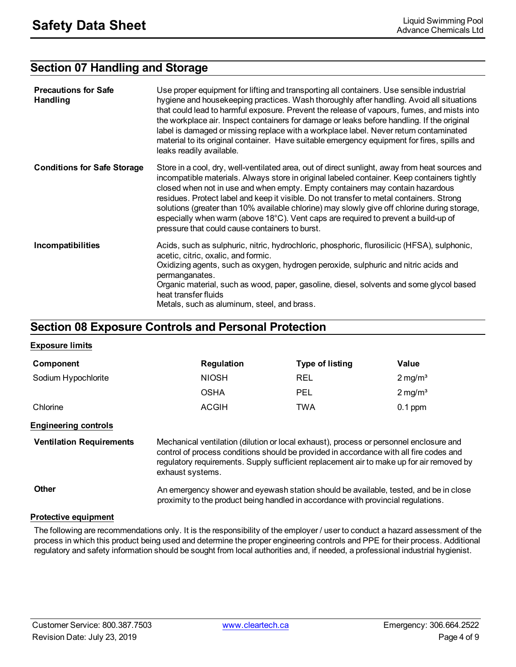## **Section 07 Handling and Storage**

| <b>Precautions for Safe</b><br>Handling | Use proper equipment for lifting and transporting all containers. Use sensible industrial<br>hygiene and housekeeping practices. Wash thoroughly after handling. Avoid all situations<br>that could lead to harmful exposure. Prevent the release of vapours, fumes, and mists into<br>the workplace air. Inspect containers for damage or leaks before handling. If the original<br>label is damaged or missing replace with a workplace label. Never return contaminated<br>material to its original container. Have suitable emergency equipment for fires, spills and<br>leaks readily available.              |
|-----------------------------------------|--------------------------------------------------------------------------------------------------------------------------------------------------------------------------------------------------------------------------------------------------------------------------------------------------------------------------------------------------------------------------------------------------------------------------------------------------------------------------------------------------------------------------------------------------------------------------------------------------------------------|
| <b>Conditions for Safe Storage</b>      | Store in a cool, dry, well-ventilated area, out of direct sunlight, away from heat sources and<br>incompatible materials. Always store in original labeled container. Keep containers tightly<br>closed when not in use and when empty. Empty containers may contain hazardous<br>residues. Protect label and keep it visible. Do not transfer to metal containers. Strong<br>solutions (greater than 10% available chlorine) may slowly give off chlorine during storage,<br>especially when warm (above 18°C). Vent caps are required to prevent a build-up of<br>pressure that could cause containers to burst. |
| Incompatibilities                       | Acids, such as sulphuric, nitric, hydrochloric, phosphoric, flurosilicic (HFSA), sulphonic,<br>acetic, citric, oxalic, and formic.<br>Oxidizing agents, such as oxygen, hydrogen peroxide, sulphuric and nitric acids and<br>permanganates.<br>Organic material, such as wood, paper, gasoline, diesel, solvents and some glycol based<br>heat transfer fluids<br>Metals, such as aluminum, steel, and brass.                                                                                                                                                                                                      |

## **Section 08 Exposure Controls and Personal Protection**

#### **Exposure limits**

| Component           | <b>Regulation</b> | <b>Type of listing</b> | Value                 |
|---------------------|-------------------|------------------------|-----------------------|
| Sodium Hypochlorite | <b>NIOSH</b>      | <b>REL</b>             | $2 \,\mathrm{mg/m^3}$ |
|                     | <b>OSHA</b>       | <b>PEL</b>             | $2 \,\mathrm{mg/m^3}$ |
| Chlorine            | <b>ACGIH</b>      | TWA                    | $0.1$ ppm             |

#### **Engineering controls**

**Ventilation Requirements** Mechanical ventilation (dilution or local exhaust), process or personnel enclosure and control of process conditions should be provided in accordance with all fire codes and regulatory requirements. Supply sufficient replacement air to make up for air removed by exhaust systems.

**Other An emergency shower and eyewash station should be available, tested, and be in close** proximity to the product being handled in accordance with provincial regulations.

#### **Protective equipment**

The following are recommendations only. It is the responsibility of the employer / user to conduct a hazard assessment of the process in which this product being used and determine the proper engineering controls and PPE for their process. Additional regulatory and safety information should be sought from local authorities and, if needed, a professional industrial hygienist.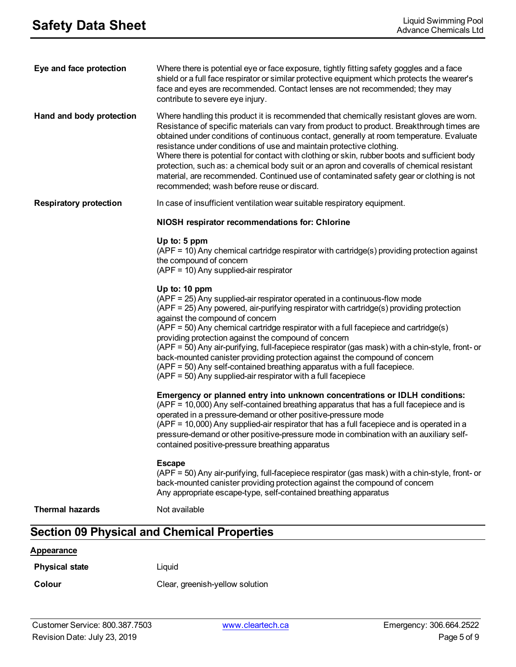| Eye and face protection       | Where there is potential eye or face exposure, tightly fitting safety goggles and a face<br>shield or a full face respirator or similar protective equipment which protects the wearer's<br>face and eyes are recommended. Contact lenses are not recommended; they may<br>contribute to severe eye injury.                                                                                                                                                                                                                                                                                                                                                                                            |
|-------------------------------|--------------------------------------------------------------------------------------------------------------------------------------------------------------------------------------------------------------------------------------------------------------------------------------------------------------------------------------------------------------------------------------------------------------------------------------------------------------------------------------------------------------------------------------------------------------------------------------------------------------------------------------------------------------------------------------------------------|
| Hand and body protection      | Where handling this product it is recommended that chemically resistant gloves are worn.<br>Resistance of specific materials can vary from product to product. Breakthrough times are<br>obtained under conditions of continuous contact, generally at room temperature. Evaluate<br>resistance under conditions of use and maintain protective clothing.<br>Where there is potential for contact with clothing or skin, rubber boots and sufficient body<br>protection, such as: a chemical body suit or an apron and coveralls of chemical resistant<br>material, are recommended. Continued use of contaminated safety gear or clothing is not<br>recommended; wash before reuse or discard.        |
| <b>Respiratory protection</b> | In case of insufficient ventilation wear suitable respiratory equipment.                                                                                                                                                                                                                                                                                                                                                                                                                                                                                                                                                                                                                               |
|                               | NIOSH respirator recommendations for: Chlorine                                                                                                                                                                                                                                                                                                                                                                                                                                                                                                                                                                                                                                                         |
|                               | Up to: 5 ppm<br>(APF = 10) Any chemical cartridge respirator with cartridge(s) providing protection against<br>the compound of concern<br>(APF = 10) Any supplied-air respirator                                                                                                                                                                                                                                                                                                                                                                                                                                                                                                                       |
|                               | Up to: 10 ppm<br>(APF = 25) Any supplied-air respirator operated in a continuous-flow mode<br>(APF = 25) Any powered, air-purifying respirator with cartridge(s) providing protection<br>against the compound of concern<br>(APF = 50) Any chemical cartridge respirator with a full facepiece and cartridge(s)<br>providing protection against the compound of concern<br>(APF = 50) Any air-purifying, full-facepiece respirator (gas mask) with a chin-style, front- or<br>back-mounted canister providing protection against the compound of concern<br>(APF = 50) Any self-contained breathing apparatus with a full facepiece.<br>$(APF = 50)$ Any supplied-air respirator with a full facepiece |
|                               | Emergency or planned entry into unknown concentrations or IDLH conditions:<br>(APF = 10,000) Any self-contained breathing apparatus that has a full facepiece and is<br>operated in a pressure-demand or other positive-pressure mode<br>(APF = 10,000) Any supplied-air respirator that has a full facepiece and is operated in a<br>pressure-demand or other positive-pressure mode in combination with an auxiliary self-<br>contained positive-pressure breathing apparatus                                                                                                                                                                                                                        |
|                               | <b>Escape</b><br>(APF = 50) Any air-purifying, full-facepiece respirator (gas mask) with a chin-style, front- or<br>back-mounted canister providing protection against the compound of concern<br>Any appropriate escape-type, self-contained breathing apparatus                                                                                                                                                                                                                                                                                                                                                                                                                                      |
| <b>Thermal hazards</b>        | Not available                                                                                                                                                                                                                                                                                                                                                                                                                                                                                                                                                                                                                                                                                          |
|                               | <b>Section 09 Physical and Chemical Properties</b>                                                                                                                                                                                                                                                                                                                                                                                                                                                                                                                                                                                                                                                     |
| Appearance                    |                                                                                                                                                                                                                                                                                                                                                                                                                                                                                                                                                                                                                                                                                                        |
|                               |                                                                                                                                                                                                                                                                                                                                                                                                                                                                                                                                                                                                                                                                                                        |

**Physical state** Liquid

**Colour** Clear, greenish-yellow solution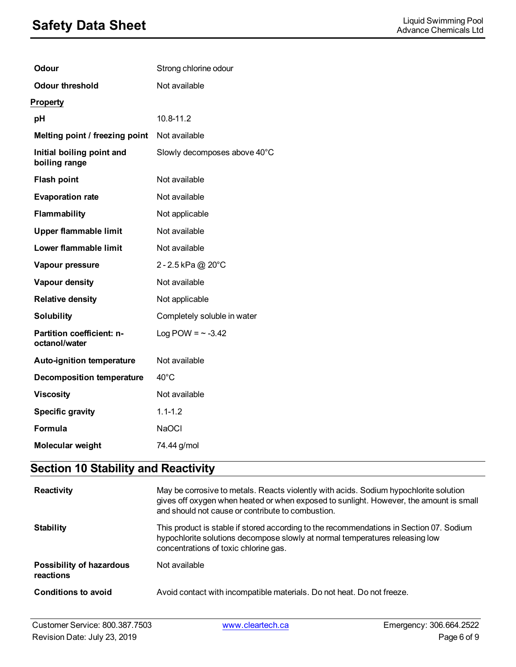## **Safety Data Sheet**<br>Advance Chemicals Ltd

| Odour                                      | Strong chlorine odour        |
|--------------------------------------------|------------------------------|
| <b>Odour threshold</b>                     | Not available                |
| <b>Property</b>                            |                              |
| рH                                         | 10.8-11.2                    |
| Melting point / freezing point             | Not available                |
| Initial boiling point and<br>boiling range | Slowly decomposes above 40°C |
| <b>Flash point</b>                         | Not available                |
| <b>Evaporation rate</b>                    | Not available                |
| Flammability                               | Not applicable               |
| <b>Upper flammable limit</b>               | Not available                |
| Lower flammable limit                      | Not available                |
| Vapour pressure                            | 2 - 2.5 kPa @ $20^{\circ}$ C |
| Vapour density                             | Not available                |
| <b>Relative density</b>                    | Not applicable               |
| <b>Solubility</b>                          | Completely soluble in water  |
| Partition coefficient: n-<br>octanol/water | Log POW = $\sim$ -3.42       |
| Auto-ignition temperature                  | Not available                |
| <b>Decomposition temperature</b>           | $40^{\circ}$ C               |
| <b>Viscosity</b>                           | Not available                |
| <b>Specific gravity</b>                    | $1.1 - 1.2$                  |
| Formula                                    | <b>NaOCI</b>                 |
| <b>Molecular weight</b>                    | 74.44 g/mol                  |

## **Section 10 Stability and Reactivity**

| <b>Reactivity</b>                            | May be corrosive to metals. Reacts violently with acids. Sodium hypochlorite solution<br>gives off oxygen when heated or when exposed to sunlight. However, the amount is small<br>and should not cause or contribute to combustion. |
|----------------------------------------------|--------------------------------------------------------------------------------------------------------------------------------------------------------------------------------------------------------------------------------------|
| <b>Stability</b>                             | This product is stable if stored according to the recommendations in Section 07. Sodium<br>hypochlorite solutions decompose slowly at normal temperatures releasing low<br>concentrations of toxic chlorine gas.                     |
| <b>Possibility of hazardous</b><br>reactions | Not available                                                                                                                                                                                                                        |
| Conditions to avoid                          | Avoid contact with incompatible materials. Do not heat. Do not freeze.                                                                                                                                                               |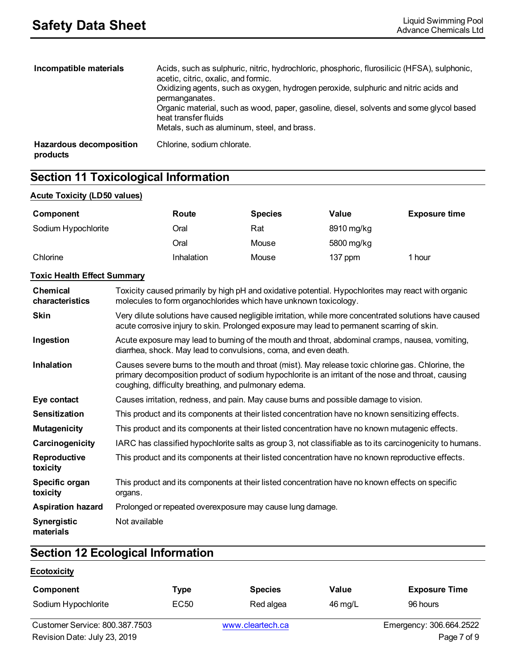| Incompatible materials              | Acids, such as sulphuric, nitric, hydrochloric, phosphoric, flurosilicic (HFSA), sulphonic,<br>acetic, citric, oxalic, and formic.<br>Oxidizing agents, such as oxygen, hydrogen peroxide, sulphuric and nitric acids and<br>permanganates.<br>Organic material, such as wood, paper, gasoline, diesel, solvents and some glycol based<br>heat transfer fluids<br>Metals, such as aluminum, steel, and brass. |
|-------------------------------------|---------------------------------------------------------------------------------------------------------------------------------------------------------------------------------------------------------------------------------------------------------------------------------------------------------------------------------------------------------------------------------------------------------------|
| Hazardous decomposition<br>products | Chlorine, sodium chlorate.                                                                                                                                                                                                                                                                                                                                                                                    |

## **Section 11 Toxicological Information**

#### **Acute Toxicity (LD50 values)**

| Component                          |                                                                                                                                                                                                                                                                  | Route      | <b>Species</b>                                            | Value                                                                                           | <b>Exposure time</b> |
|------------------------------------|------------------------------------------------------------------------------------------------------------------------------------------------------------------------------------------------------------------------------------------------------------------|------------|-----------------------------------------------------------|-------------------------------------------------------------------------------------------------|----------------------|
| Sodium Hypochlorite                |                                                                                                                                                                                                                                                                  | Oral       | Rat                                                       | 8910 mg/kg                                                                                      |                      |
|                                    |                                                                                                                                                                                                                                                                  | Oral       | Mouse                                                     | 5800 mg/kg                                                                                      |                      |
| Chlorine                           |                                                                                                                                                                                                                                                                  | Inhalation | Mouse                                                     | 137 ppm                                                                                         | 1 hour               |
| <b>Toxic Health Effect Summary</b> |                                                                                                                                                                                                                                                                  |            |                                                           |                                                                                                 |                      |
| <b>Chemical</b><br>characteristics | Toxicity caused primarily by high pH and oxidative potential. Hypochlorites may react with organic<br>molecules to form organochlorides which have unknown toxicology.                                                                                           |            |                                                           |                                                                                                 |                      |
| <b>Skin</b>                        | Very dilute solutions have caused negligible irritation, while more concentrated solutions have caused<br>acute corrosive injury to skin. Prolonged exposure may lead to permanent scarring of skin.                                                             |            |                                                           |                                                                                                 |                      |
| Ingestion                          | Acute exposure may lead to burning of the mouth and throat, abdominal cramps, nausea, vomiting,<br>diarrhea, shock. May lead to convulsions, coma, and even death.                                                                                               |            |                                                           |                                                                                                 |                      |
| <b>Inhalation</b>                  | Causes severe burns to the mouth and throat (mist). May release toxic chlorine gas. Chlorine, the<br>primary decomposition product of sodium hypochlorite is an irritant of the nose and throat, causing<br>coughing, difficulty breathing, and pulmonary edema. |            |                                                           |                                                                                                 |                      |
| Eye contact                        |                                                                                                                                                                                                                                                                  |            |                                                           | Causes irritation, redness, and pain. May cause burns and possible damage to vision.            |                      |
| <b>Sensitization</b>               | This product and its components at their listed concentration have no known sensitizing effects.                                                                                                                                                                 |            |                                                           |                                                                                                 |                      |
| <b>Mutagenicity</b>                | This product and its components at their listed concentration have no known mutagenic effects.                                                                                                                                                                   |            |                                                           |                                                                                                 |                      |
| Carcinogenicity                    | IARC has classified hypochlorite salts as group 3, not classifiable as to its carcinogenicity to humans.                                                                                                                                                         |            |                                                           |                                                                                                 |                      |
| Reproductive<br>toxicity           | This product and its components at their listed concentration have no known reproductive effects.                                                                                                                                                                |            |                                                           |                                                                                                 |                      |
| Specific organ<br>toxicity         | organs.                                                                                                                                                                                                                                                          |            |                                                           | This product and its components at their listed concentration have no known effects on specific |                      |
| <b>Aspiration hazard</b>           |                                                                                                                                                                                                                                                                  |            | Prolonged or repeated overexposure may cause lung damage. |                                                                                                 |                      |
| Synergistic<br>materials           | Not available                                                                                                                                                                                                                                                    |            |                                                           |                                                                                                 |                      |

## **Section 12 Ecological Information**

#### **Ecotoxicity**

| Component                      | <b>Type</b> | <b>Species</b>   | Value             | <b>Exposure Time</b>    |
|--------------------------------|-------------|------------------|-------------------|-------------------------|
| Sodium Hypochlorite            | EC50        | Red algea        | $46 \text{ mg/L}$ | 96 hours                |
| Customer Service: 800.387.7503 |             | www.cleartech.ca |                   | Emergency: 306.664.2522 |
| Revision Date: July 23, 2019   |             |                  |                   | Page 7 of 9             |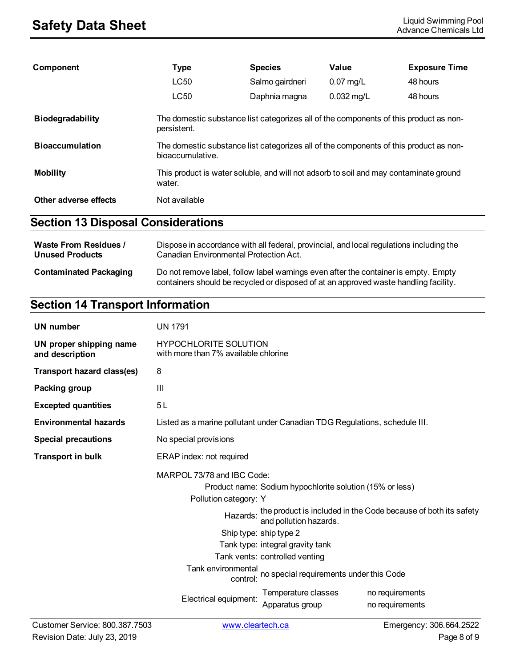| Component               | <b>Type</b>                                                                                               | <b>Species</b>  | Value        | <b>Exposure Time</b> |
|-------------------------|-----------------------------------------------------------------------------------------------------------|-----------------|--------------|----------------------|
|                         | <b>LC50</b>                                                                                               | Salmo gairdneri | $0.07$ mg/L  | 48 hours             |
|                         | LC50                                                                                                      | Daphnia magna   | $0.032$ mg/L | 48 hours             |
| <b>Biodegradability</b> | The domestic substance list categorizes all of the components of this product as non-<br>persistent.      |                 |              |                      |
| <b>Bioaccumulation</b>  | The domestic substance list categorizes all of the components of this product as non-<br>bioaccumulative. |                 |              |                      |
| <b>Mobility</b>         | This product is water soluble, and will not adsorb to soil and may contaminate ground<br>water.           |                 |              |                      |
| Other adverse effects   | Not available                                                                                             |                 |              |                      |

## **Section 13 Disposal Considerations**

| <b>Waste From Residues /</b>  | Dispose in accordance with all federal, provincial, and local regulations including the                                                                                     |
|-------------------------------|-----------------------------------------------------------------------------------------------------------------------------------------------------------------------------|
| <b>Unused Products</b>        | Canadian Environmental Protection Act.                                                                                                                                      |
| <b>Contaminated Packaging</b> | Do not remove label, follow label warnings even after the container is empty. Empty<br>containers should be recycled or disposed of at an approved waste handling facility. |

## **Section 14 Transport Information**

| <b>UN number</b>                           | <b>UN 1791</b>                                                                                                                                                                                                                                                                                                                                                                                                                                                    |  |                                    |  |
|--------------------------------------------|-------------------------------------------------------------------------------------------------------------------------------------------------------------------------------------------------------------------------------------------------------------------------------------------------------------------------------------------------------------------------------------------------------------------------------------------------------------------|--|------------------------------------|--|
| UN proper shipping name<br>and description | <b>HYPOCHLORITE SOLUTION</b><br>with more than 7% available chlorine                                                                                                                                                                                                                                                                                                                                                                                              |  |                                    |  |
| <b>Transport hazard class(es)</b>          | 8                                                                                                                                                                                                                                                                                                                                                                                                                                                                 |  |                                    |  |
| Packing group                              | Ш                                                                                                                                                                                                                                                                                                                                                                                                                                                                 |  |                                    |  |
| <b>Excepted quantities</b>                 | 5L                                                                                                                                                                                                                                                                                                                                                                                                                                                                |  |                                    |  |
| <b>Environmental hazards</b>               | Listed as a marine pollutant under Canadian TDG Regulations, schedule III.                                                                                                                                                                                                                                                                                                                                                                                        |  |                                    |  |
| <b>Special precautions</b>                 | No special provisions                                                                                                                                                                                                                                                                                                                                                                                                                                             |  |                                    |  |
| <b>Transport in bulk</b>                   | ERAP index: not required                                                                                                                                                                                                                                                                                                                                                                                                                                          |  |                                    |  |
|                                            | MARPOL 73/78 and IBC Code:<br>Product name: Sodium hypochlorite solution (15% or less)<br>Pollution category: Y<br>Hazards: the product is included in the Code because of both its safety<br>and pollution hazards.<br>Ship type: ship type 2<br>Tank type: integral gravity tank<br>Tank vents: controlled venting<br>Tank environmental<br>control: no special requirements under this Code<br>Temperature classes<br>Electrical equipment:<br>Apparatus group |  | no requirements<br>no requirements |  |